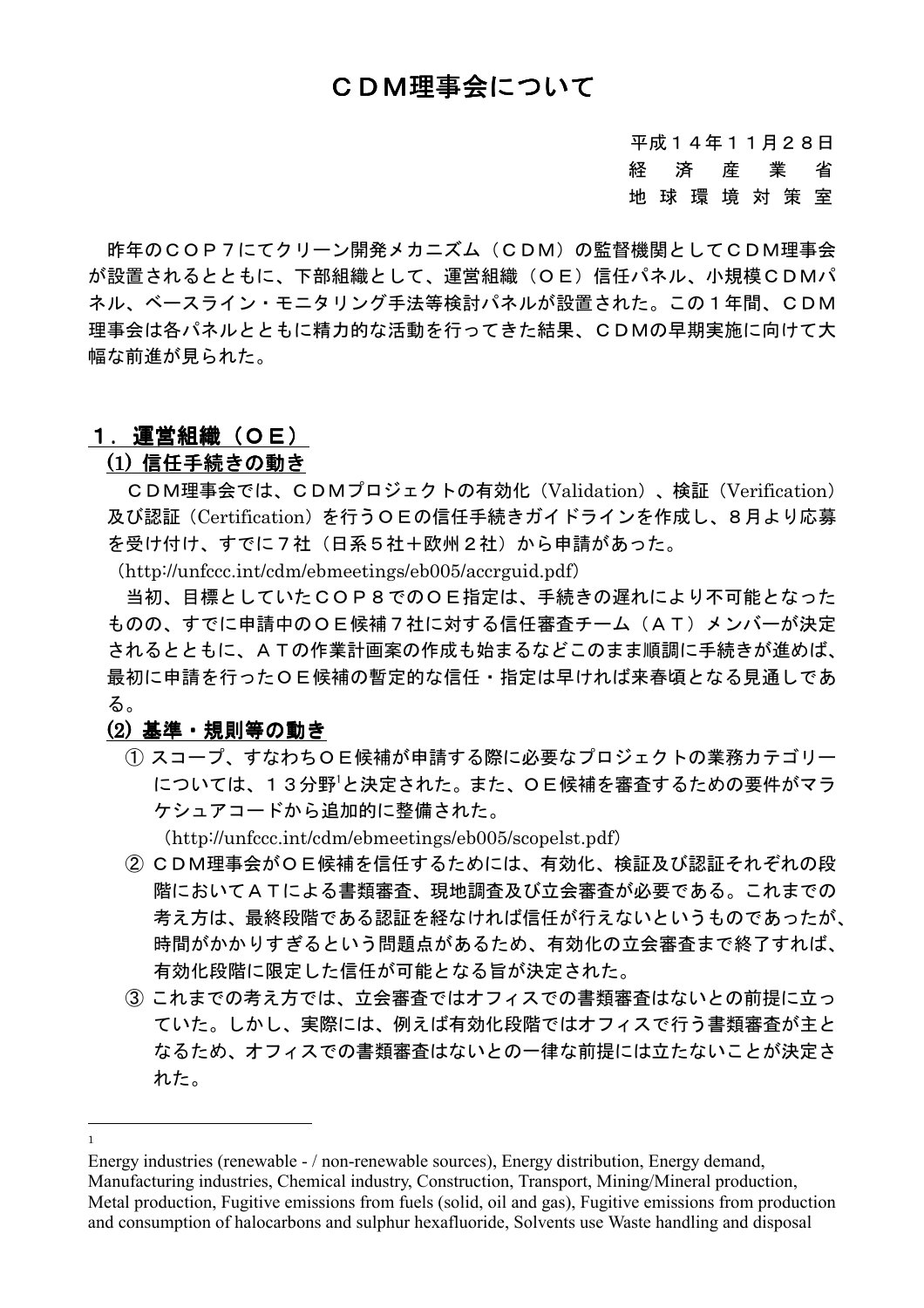平成14年11月28日 経 済 産 業 省 地球環境対策室

昨年のCOP7にてクリーン開発メカニズム (CDM) の監督機関としてCDM理事会 が設置されるとともに、下部組織として、運営組織(OE)信任パネル、小規模CDMパ ネル、ベースライン·モニタリング手法等検討パネルが設置された。この1年間、CDM 理事会は各パネルとともに精力的な活動を行ってきた結果、CDMの早期実施に向けて大 幅な前進が見られた。

## 1.運営組織(OE)

### (1)信任手続きの動き

CDM理事会では、CDMプロジェクトの有効化 (Validation)、検証 (Verification) 及び認証(Certification)を行うOEの信任手続きガイドラインを作成し、8月より応募 を受け付け、すでに7社 (日系5社+欧州2社) から申請があった。

 $(http://unfcc.int/cdm/ebmeetings/eb005/accrguide)$ 

当初、目標としていたCOP8でのOE指定は、手続きの遅れにより不可能となった ものの、すでに申請中のOE候補7社に対する信任審査チーム (AT) メンバーが決定 されるとともに、ATの作業計画案の作成も始まるなどこのまま順調に手続きが進めば、 最初に申請を行ったOE候補の暫定的な信任·指定は早ければ来春頃となる見通しであ る。

# (2) 基準・規則等の動き

1) スコープ、すなわちOE候補が申請する際に必要なプロジェクトの業務カテゴリー については、13分野<sup>1</sup>と決定された。また、OE候補を審査するための要件がマラ ケシュアコードから追加的に整備された。

(http://unfccc.int/cdm/ebmeetings/eb005/scopelst.pdf)

- (2) CDM理事会がOE候補を信任するためには、有効化、検証及び認証それぞれの段 階においてATによる書類審査、現地調査及び立会審査が必要である。これまでの 考え方は、最終段階である認証を経なければ信任が行えないというものであったが、 時間がかかりすぎるという問題点があるため、有効化の立会審査まで終了すれば、 有効化段階に限定した信任が可能となる旨が決定された。
- 3 これまでの考え方では、立会審査ではオフィスでの書類審査はないとの前提に立っ ていた。しかし、実際には、例えば有効化段階ではオフィスで行う書類審査が主と なるため、オフィスでの書類審査はないとの一律な前提には立たないことが決定さ れた。

 $\mathbf{1}$ 

Energy industries (renewable - / non-renewable sources), Energy distribution, Energy demand, Manufacturing industries, Chemical industry, Construction, Transport, Mining/Mineral production, Metal production, Fugitive emissions from fuels (solid, oil and gas), Fugitive emissions from production and consumption of halocarbons and sulphur hexafluoride, Solvents use Waste handling and disposal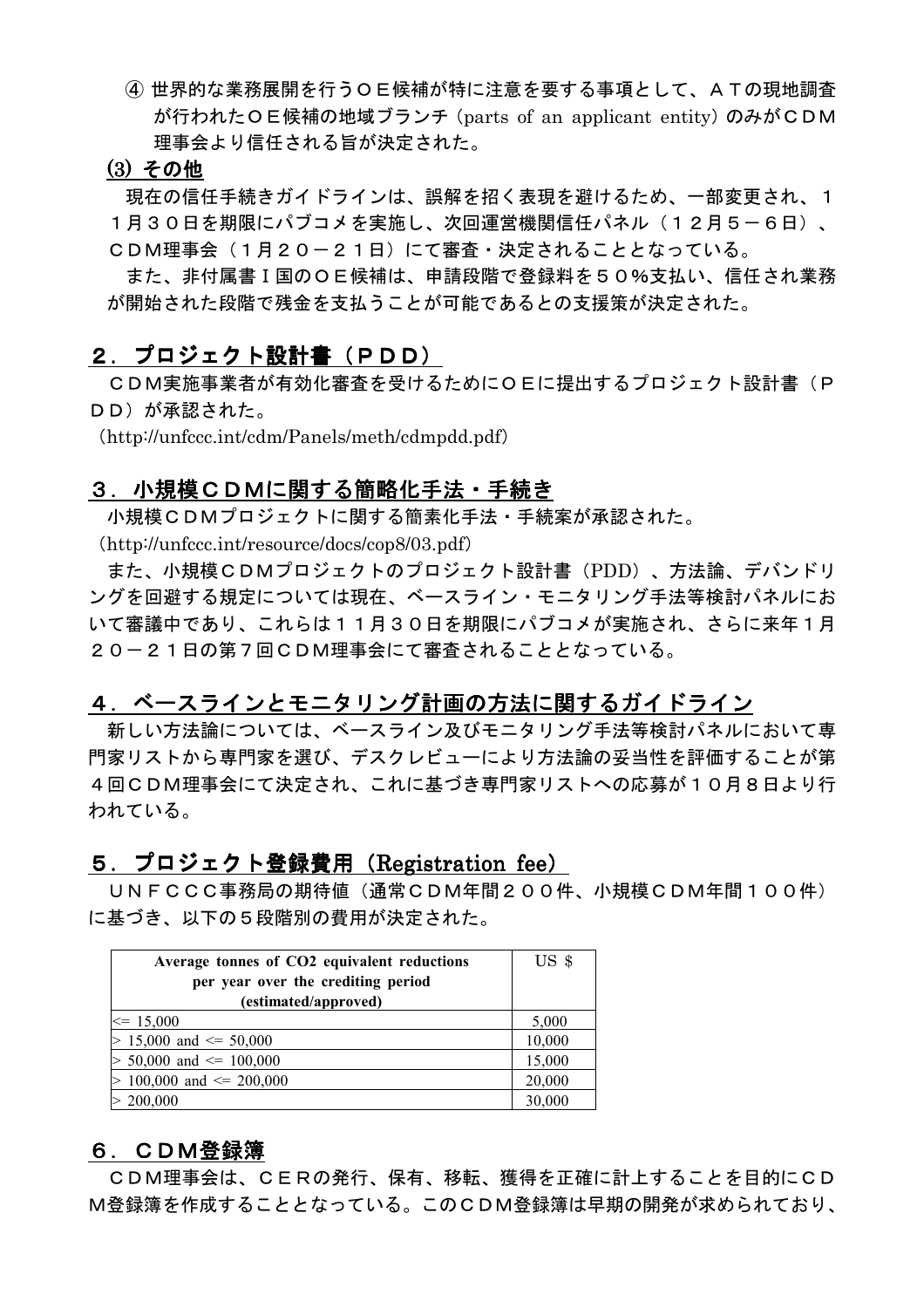4 世界的な業務展開を行うOE候補が特に注意を要する事項として、ATの現地調査 が行われたOE候補の地域ブランチ (parts of an applicant entity) のみがCDM 理事会より信任される旨が決定された。

#### (3) その他

現在の信任手続きガイドラインは、誤解を招く表現を避けるため、一部変更され、1

1月30日を期限にパブコメを実施し、次回運営機関信任パネル(12月5-6日)、

CDM理事会 (1月20-21日) にて審査·決定されることとなっている。

また、非付属書 I 国のO E 候補は、申請段階で登録料を50%支払い、信任され業務 が開始された段階で残金を支払うことが可能であるとの支援策が決定された。

### 2.プロジェクト設計書(PDD)

CDM実施事業者が有効化審査を受けるためにOEに提出するプロジェクト設計書(P DD)が承認された。

(http://unfccc.int/cdm/Panels/meth/cdmpdd.pdf)

## 3. 小規模CDMに関する簡略化手法・手続き

小規模CDMプロジェクトに関する簡素化手法・手続案が承認された。

 $(http://unfcc.int/resource/docs/cop8/03.pdf)$ 

また、小規模CDMプロジェクトのプロジェクト設計書 (PDD)、方法論、デバンドリ ングを回避する規定については現在、ベースライン・モニタリング手法等検討パネルにお いて審議中であり、これらは11月30日を期限にパブコメが実施され、さらに来年1月 20-21日の第7回CDM理事会にて審査されることとなっている。

### 4.ベースラインとモニタリング計画の方法に関するガイドライン

新しい方法論については、ベースライン及びモニタリング手法等検討パネルにおいて専 門家リストから専門家を選び、デスクレビューにより方法論の妥当性を評価することが第 4回CDM理事会にて決定され、これに基づき専門家リストへの応募が10月8日より行 われている。

### 5.プロジェクト登録費用(Registration fee)

UNFCCC事務局の期待値(通常CDM年間200件、小規模CDM年間100件) に基づき、以下の5段階別の費用が決定された。

| Average tonnes of CO2 equivalent reductions | US <sub>3</sub> |
|---------------------------------------------|-----------------|
| per year over the crediting period          |                 |
| (estimated/approved)                        |                 |
| $\leq 15,000$                               | 5,000           |
| $> 15,000$ and $\leq 50,000$                | 10,000          |
| $> 50,000$ and $\leq 100,000$               | 15,000          |
| $> 100,000$ and $\leq 200,000$              | 20,000          |
| > 200,000                                   | 30,000          |

# 6. CDM登録簿

CDM理事会は、CERの発行、保有、移転、獲得を正確に計上することを目的にCD M登録簿を作成することとなっている。このCDM登録簿は早期の開発が求められており、